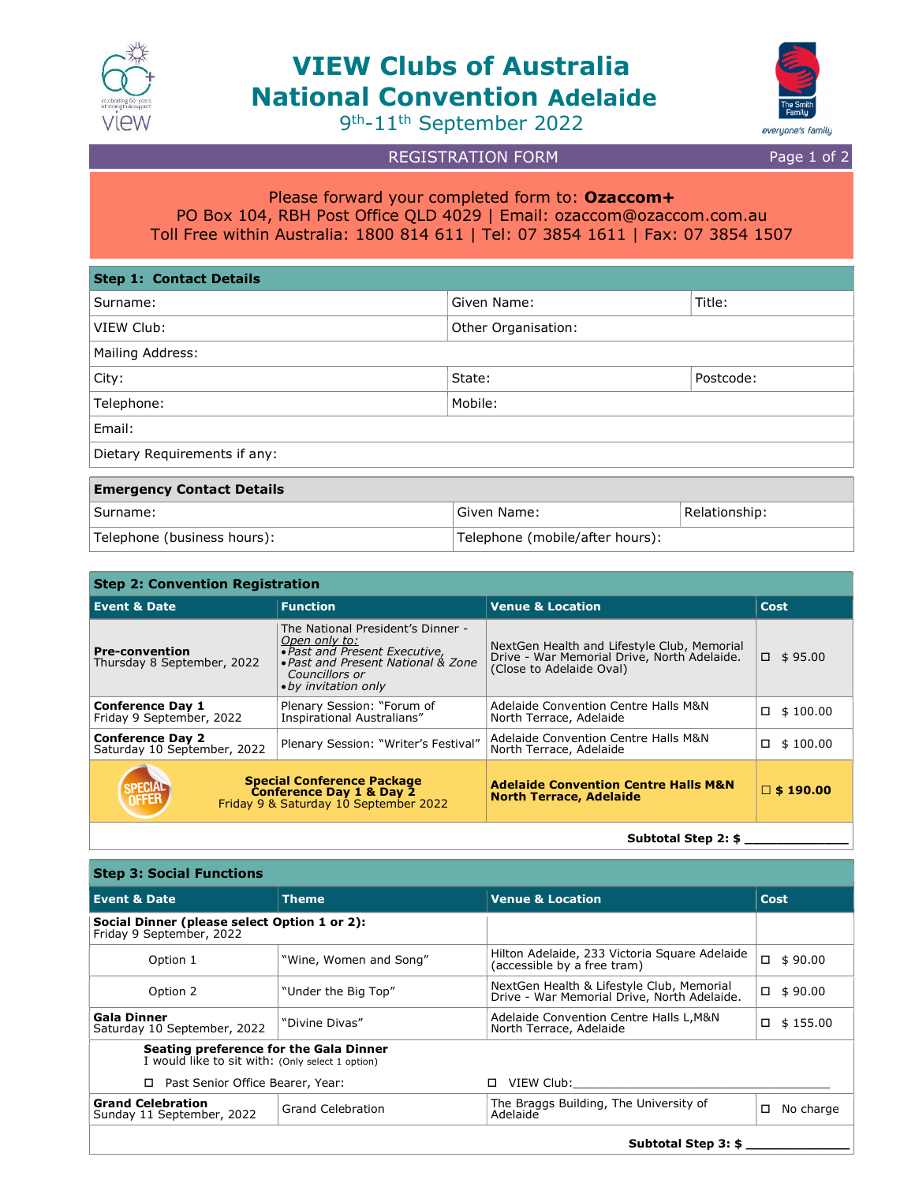

# VIEW Clubs of Australia National Convention Adelaide



9 th-11th September 2022

# REGISTRATION FORM Page 1 of 2

## Please forward your completed form to: Ozaccom+ PO Box 104, RBH Post Office QLD 4029 | Email: ozaccom@ozaccom.com.au Toll Free within Australia: 1800 814 611 | Tel: 07 3854 1611 | Fax: 07 3854 1507

| <b>Step 1: Contact Details</b>   |                       |           |  |
|----------------------------------|-----------------------|-----------|--|
| Surname:                         | Given Name:<br>Title: |           |  |
| VIEW Club:                       | Other Organisation:   |           |  |
| Mailing Address:                 |                       |           |  |
| City:                            | State:                | Postcode: |  |
| Telephone:                       | Mobile:               |           |  |
| Email:                           |                       |           |  |
| Dietary Requirements if any:     |                       |           |  |
| <b>Emergency Contact Details</b> |                       |           |  |
|                                  |                       |           |  |

| Surname:                    | Given Name:                      | Relationship: |
|-----------------------------|----------------------------------|---------------|
| Telephone (business hours): | 'Telephone (mobile/after hours): |               |

#### Step 2: Convention Registration Event & Date Function Venue & Location Cost Pre-convention Thursday 8 September, 2022 The National President's Dinner - Open only to:<br>• Past and Present Executive, Past and Present National & Zone Councillors or by invitation only NextGen Health and Lifestyle Club, Memorial Drive - War Memorial Drive, North Adelaide. (Close to Adelaide Oval)  $\Box$  \$95.00 **Conference Day 1**<br>Friday 9 September, 2022 Plenary Session: "Forum of Inspirational Australians" Adelaide Convention Centre Halls M&N Auerarue Convention Centre Halls M&N<br>North Terrace, Adelaide **Conference Day 2**<br>Saturday 10 September, 2022 Plenary Session: "Writer's Festival" Adelaide Convention Centre Halls M&N Adelaide Convention Centre Halls Mort<br>North Terrace, Adelaide Special Conference Package **Conference Day 1 & Day 2**<br>Friday 9 & Saturday 10 September 2022 Adelaide Convention Centre Halls M&N Adelaide Convention Centre Halls M&N<br>North Terrace, Adelaide

Subtotal Step 2: \$

| Step 3: Social Functions                                                                   |                          |                                                                                          |                |  |
|--------------------------------------------------------------------------------------------|--------------------------|------------------------------------------------------------------------------------------|----------------|--|
| <b>Event &amp; Date</b>                                                                    | <b>Theme</b>             | <b>Venue &amp; Location</b>                                                              | <b>Cost</b>    |  |
| Social Dinner (please select Option 1 or 2):<br>Friday 9 September, 2022                   |                          |                                                                                          |                |  |
| "Wine, Women and Song"<br>Option 1                                                         |                          | Hilton Adelaide, 233 Victoria Square Adelaide<br>(accessible by a free tram)             | $\Box$ \$90.00 |  |
| Option 2                                                                                   | "Under the Big Top"      | NextGen Health & Lifestyle Club, Memorial<br>Drive - War Memorial Drive, North Adelaide. | о<br>\$90.00   |  |
| Gala Dinner<br>Saturday 10 September, 2022                                                 | "Divine Divas"           | Adelaide Convention Centre Halls L, M&N<br>North Terrace, Adelaide                       | \$155.00<br>□  |  |
| Seating preference for the Gala Dinner<br>I would like to sit with: (Only select 1 option) |                          |                                                                                          |                |  |
| Past Senior Office Bearer, Year:                                                           |                          | VIEW Club:                                                                               |                |  |
| <b>Grand Celebration</b><br>Sunday 11 September, 2022                                      | <b>Grand Celebration</b> | The Braggs Building, The University of<br>Adelaide                                       | □<br>No charge |  |
| Subtotal Step 3: \$                                                                        |                          |                                                                                          |                |  |

### Step 3: Social Functions